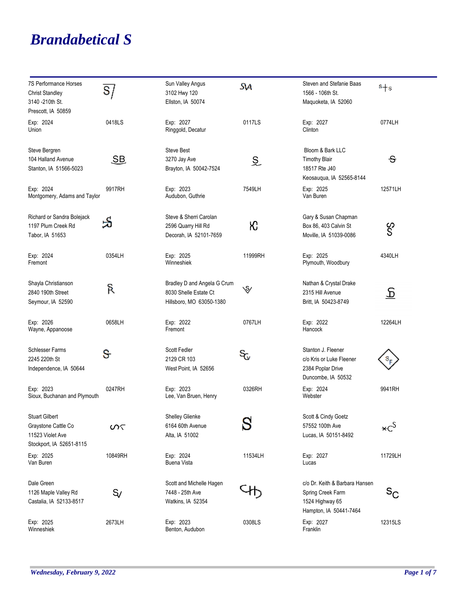## *Brandabetical S*

| <b>7S Performance Horses</b><br><b>Christ Standley</b><br>3140 - 210th St.<br>Prescott, IA 50859 | S                         | Sun Valley Angus<br>3102 Hwy 120<br>Ellston, IA 50074                            | Sч                        | Steven and Stefanie Baas<br>1566 - 106th St.<br>Maguoketa, IA 52060                              | $s + s$                 |
|--------------------------------------------------------------------------------------------------|---------------------------|----------------------------------------------------------------------------------|---------------------------|--------------------------------------------------------------------------------------------------|-------------------------|
| Exp: 2024<br>Union                                                                               | 0418LS                    | Exp: 2027<br>Ringgold, Decatur                                                   | 0117LS                    | Exp: 2027<br>Clinton                                                                             | 0774LH                  |
| Steve Bergren<br>104 Halland Avenue<br>Stanton, IA 51566-5023                                    | $\underline{\mathsf{SB}}$ | <b>Steve Best</b><br>3270 Jay Ave<br>Brayton, IA 50042-7524                      | $\widetilde{\mathcal{Z}}$ | Bloom & Bark LLC<br><b>Timothy Blair</b><br>18517 Rte J40<br>Keosaugua, IA 52565-8144            | $\overline{\mathbf{c}}$ |
| Exp: 2024<br>Montgomery, Adams and Taylor                                                        | 9917RH                    | Exp: 2023<br>Audubon, Guthrie                                                    | 7549LH                    | Exp: 2025<br>Van Buren                                                                           | 12571LH                 |
| Richard or Sandra Bolejack<br>1197 Plum Creek Rd<br>Tabor, IA 51653                              | S                         | Steve & Sherri Carolan<br>2596 Quarry Hill Rd<br>Decorah, IA 52101-7659          | К                         | Gary & Susan Chapman<br>Box 86, 403 Calvin St<br>Moville, IA 51039-0086                          | ငွ<br>S                 |
| Exp: 2024<br>Fremont                                                                             | 0354LH                    | Exp: 2025<br>Winneshiek                                                          | 11999RH                   | Exp: 2025<br>Plymouth, Woodbury                                                                  | 4340LH                  |
| Shayla Christianson<br>2840 190th Street<br>Seymour, IA 52590                                    | ዪ                         | Bradley D and Angela G Crum<br>8030 Shelle Estate Ct<br>Hillsboro, MO 63050-1380 | $\mathcal{S}$             | Nathan & Crystal Drake<br>2315 Hill Avenue<br>Britt, IA 50423-8749                               | <u>र</u>                |
| Exp: 2026<br>Wayne, Appanoose                                                                    | 0658LH                    | Exp: 2022<br>Fremont                                                             | 0767LH                    | Exp: 2022<br>Hancock                                                                             | 12264LH                 |
| <b>Schlesser Farms</b><br>2245 220th St<br>Independence, IA 50644                                | ઙ                         | Scott Fedler<br>2129 CR 103<br>West Point, IA 52656                              | SG,                       | Stanton J. Fleener<br>c/o Kris or Luke Fleener<br>2384 Poplar Drive<br>Duncombe, IA 50532        |                         |
| Exp: 2023<br>Sioux, Buchanan and Plymouth                                                        | 0247RH                    | Exp: 2023<br>Lee, Van Bruen, Henry                                               | 0326RH                    | Exp: 2024<br>Webster                                                                             | 9941RH                  |
| <b>Stuart Gilbert</b><br>Graystone Cattle Co<br>11523 Violet Ave<br>Stockport, IA 52651-8115     | ທ<                        | Shelley Glienke<br>6164 60th Avenue<br>Alta, IA 51002                            | S                         | Scott & Cindy Goetz<br>57552 100th Ave<br>Lucas, IA 50151-8492                                   | $\star c^S$             |
| Exp: 2025<br>Van Buren                                                                           | 10849RH                   | Exp: 2024<br><b>Buena Vista</b>                                                  | 11534LH                   | Exp: 2027<br>Lucas                                                                               | 11729LH                 |
| Dale Green<br>1126 Maple Valley Rd<br>Castalia, IA 52133-8517                                    | S                         | Scott and Michelle Hagen<br>7448 - 25th Ave<br>Watkins, IA 52354                 |                           | c/o Dr. Keith & Barbara Hansen<br>Spring Creek Farm<br>1524 Highway 65<br>Hampton, IA 50441-7464 | $S_{\rm C}$             |
| Exp: 2025<br>Winneshiek                                                                          | 2673LH                    | Exp: 2023<br>Benton, Audubon                                                     | 0308LS                    | Exp: 2027<br>Franklin                                                                            | 12315LS                 |

÷,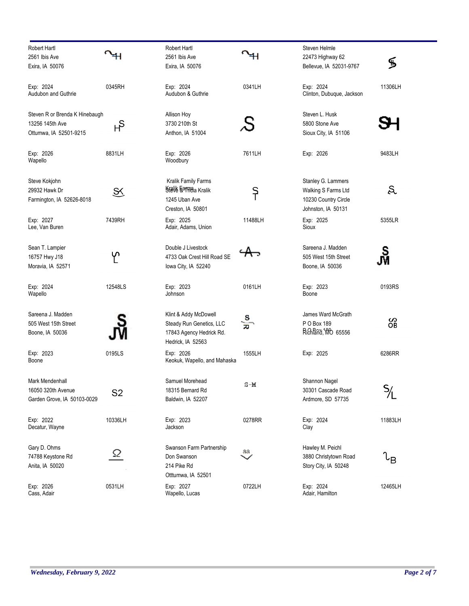| Robert Hartl                   |                | <b>Robert Hartl</b>                           |             | <b>Steven Helmle</b>      |                     |
|--------------------------------|----------------|-----------------------------------------------|-------------|---------------------------|---------------------|
| 2561 Ibis Ave                  |                | 2561 Ibis Ave                                 |             | 22473 Highway 62          |                     |
| Exira, IA 50076                |                | Exira, IA 50076                               |             | Bellevue, IA 52031-9767   | ֍                   |
| Exp: 2024                      | 0345RH         | Exp: 2024                                     | 0341LH      | Exp: 2024                 | 11306LH             |
| Audubon and Guthrie            |                | Audubon & Guthrie                             |             | Clinton, Dubuque, Jackson |                     |
| Steven R or Brenda K Hinebaugh |                | Allison Hoy                                   |             | Steven L. Husk            |                     |
| 13256 145th Ave                | မှ             | 3730 210th St                                 |             | 5800 Stone Ave            |                     |
| Ottumwa, IA 52501-9215         |                | Anthon, IA 51004                              |             | Sioux City, IA 51106      |                     |
| Exp: 2026                      | 8831LH         | Exp: 2026                                     | 7611LH      | Exp: 2026                 | 9483LH              |
| Wapello                        |                | Woodbury                                      |             |                           |                     |
| Steve Kokjohn                  |                | Kralik Family Farms                           |             | Stanley G. Lammers        |                     |
| 29932 Hawk Dr                  | S.             | Stelle karmea Kralik                          | $\varsigma$ | Walking S Farms Ltd       | S.                  |
| Farmington, IA 52626-8018      |                | 1245 Uban Ave                                 |             | 10230 Country Circle      |                     |
|                                |                | Creston, IA 50801                             |             | Johnston, IA 50131        |                     |
| Exp: 2027<br>Lee, Van Buren    | 7439RH         | Exp: 2025<br>Adair, Adams, Union              | 11488LH     | Exp: 2025<br>Sioux        | 5355LR              |
| Sean T. Lampier                |                | Double J Livestock                            |             | Sareena J. Madden         |                     |
| 16757 Hwy J18                  | ∽              | 4733 Oak Crest Hill Road SE                   |             | 505 West 15th Street      | ၛၟ                  |
| Moravia, IA 52571              |                | lowa City, IA 52240                           |             | Boone, IA 50036           |                     |
| Exp: 2024                      | 12548LS        | Exp: 2023                                     | 0161LH      | Exp: 2023                 | 0193RS              |
| Wapello                        |                | Johnson                                       |             | Boone                     |                     |
| Sareena J. Madden              |                | Klint & Addy McDowell                         |             | James Ward McGrath        |                     |
| 505 West 15th Street           |                | Steady Run Genetics, LLC                      | န္တ<br>စ    | P O Box 189               | တိ                  |
| Boone, IA 50036                |                | 17843 Agency Hedrick Rd.<br>Hedrick, IA 52563 |             | Richland, MO 65556        |                     |
| Exp: 2023<br>Boone             | 0195LS         | Exp: 2026<br>Keokuk, Wapello, and Mahaska     | 1555LH      | Exp: 2025                 | 6286RR              |
|                                |                |                                               |             |                           |                     |
| Mark Mendenhall                |                | Samuel Morehead                               | $S-M$       | Shannon Nagel             |                     |
| 16050 320th Avenue             | S <sub>2</sub> | 18315 Bernard Rd                              |             | 30301 Cascade Road        |                     |
| Garden Grove, IA 50103-0029    |                | Baldwin, IA 52207                             |             | Ardmore, SD 57735         |                     |
| Exp: 2022                      | 10336LH        | Exp: 2023                                     | 0278RR      | Exp: 2024                 | 11883LH             |
| Decatur, Wayne                 |                | Jackson                                       |             | Clay                      |                     |
| Gary D. Ohms                   | Ω              | Swanson Farm Partnership                      | 88          | Hawley M. Peichl          |                     |
| 74788 Keystone Rd              |                | Don Swanson                                   |             | 3880 Christytown Road     | $\iota_{\mathsf B}$ |
| Anita, IA 50020                |                | 214 Pike Rd<br>Otttumwa, IA 52501             |             | Story City, IA 50248      |                     |
| Exp: 2026                      | 0531LH         | Exp: 2027                                     | 0722LH      | Exp: 2024                 | 12465LH             |
| Cass, Adair                    |                | Wapello, Lucas                                |             | Adair, Hamilton           |                     |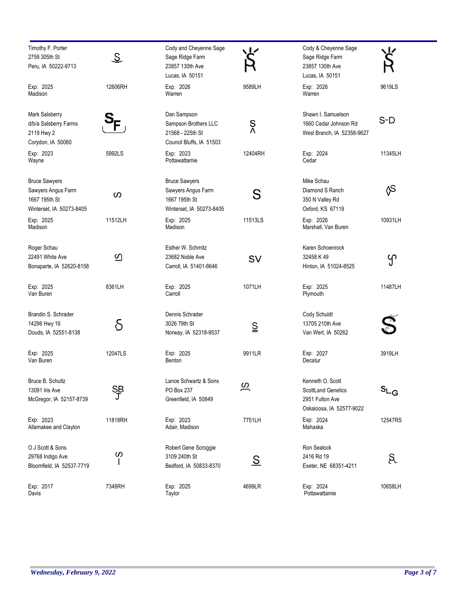| Timothy F. Porter<br>2759 305th St<br>Peru, IA 50222-9713                               | $\mathcal{Z}% _{M_{1},M_{2}}^{\alpha,\beta}(\varepsilon)$ | Cody and Cheyenne Sage<br>Sage Ridge Farm<br>23857 130th Ave<br>Lucas, IA 50151         |                     | Cody & Cheyenne Sage<br>Sage Ridge Farm<br>23857 130th Ave<br>Lucas, IA 50151         |                                        |
|-----------------------------------------------------------------------------------------|-----------------------------------------------------------|-----------------------------------------------------------------------------------------|---------------------|---------------------------------------------------------------------------------------|----------------------------------------|
| Exp: 2025<br>Madison                                                                    | 12606RH                                                   | Exp: 2026<br>Warren                                                                     | 9589LH              | Exp: 2026<br>Warren                                                                   | 9619LS                                 |
| Mark Salsberry<br>d/b/a Salsberry Farms<br>2119 Hwy 2<br>Corydon, IA 50060              |                                                           | Dan Sampson<br>Sampson Brothers LLC<br>21568 - 225th St<br>Council Bluffs, IA 51503     | $\frac{S}{\Lambda}$ | Shawn I. Samuelson<br>1660 Cedar Johnson Rd<br>West Branch, IA 52358-9627             | $S-D$                                  |
| Exp: 2023<br>Wayne                                                                      | 5992LS                                                    | Exp: 2023<br>Pottawattamie                                                              | 12404RH             | Exp: 2024<br>Cedar                                                                    | 11345LH                                |
| <b>Bruce Sawyers</b><br>Sawyers Angus Farm<br>1667 195th St<br>Winterset, IA 50273-8405 | ၯ                                                         | <b>Bruce Sawyers</b><br>Sawyers Angus Farm<br>1667 195th St<br>Winterset, IA 50273-8405 | S                   | Mike Schau<br>Diamond S Ranch<br>350 N Valley Rd<br>Oxford, KS 67119                  | ∕S                                     |
| Exp: 2025<br>Madison                                                                    | 11512LH                                                   | Exp: 2025<br>Madison                                                                    | 11513LS             | Exp: 2026<br>Marshall, Van Buren                                                      | 10931LH                                |
| Roger Schau<br>22491 White Ave<br>Bonaparte, IA 52620-8158                              | $\overline{\omega}$                                       | Esther W. Schmitz<br>23682 Noble Ave<br>Carroll, IA 51401-8646                          | SV                  | Karen Schoenrock<br>32458 K 49<br>Hinton, IA 51024-8525                               | ၯ                                      |
| Exp: 2025<br>Van Buren                                                                  | 8361LH                                                    | Exp: 2025<br>Carroll                                                                    | 1071LH              | Exp: 2025<br>Plymouth                                                                 | 11487LH                                |
| Brandin S. Schrader<br>14296 Hwy 16<br>Douds, IA 52551-8138                             | S                                                         | Dennis Schrader<br>3026 79th St<br>Norway, IA 52318-9537                                | $\subseteq$         | Cody Schuldt<br>13705 210th Ave<br>Van Wert, IA 50262                                 |                                        |
| Exp: 2025<br>Van Buren                                                                  | 12047LS                                                   | Exp: 2025<br>Benton                                                                     | 9911LR              | Exp: 2027<br>Decatur                                                                  | 3919LH                                 |
| Bruce B. Schultz<br>13091 Iris Ave<br>McGregor, IA 52157-8739                           | S₿                                                        | Lance Schwartz & Sons<br>PO Box 237<br>Greenfield, IA 50849                             | <u>ო</u>            | Kenneth O. Scott<br>ScottLand Genetics<br>2951 Fulton Ave<br>Oskaloosa, IA 52577-9022 | $\mathsf{s}_{\mathsf{L}_{\mathsf{G}}}$ |
| Exp: 2023<br>Allamakee and Clayton                                                      | 11818RH                                                   | Exp: 2023<br>Adair, Madison                                                             | 7751LH              | Exp: 2024<br>Mahaska                                                                  | 12547RS                                |
| O J Scott & Sons<br>29768 Indigo Ave<br>Bloomfield, IA 52537-7719                       | $\boldsymbol{\omega}$                                     | Robert Gene Scroggie<br>3109 240th St<br>Bedford, IA 50833-8370                         | <u>ട</u>            | Ron Sealock<br>2416 Rd 19<br>Exeter, NE 68351-4211                                    | R                                      |
| Exp: 2017<br>Davis                                                                      | 7348RH                                                    | Exp: 2025<br>Taylor                                                                     | 4699LR              | Exp: 2024<br>Pottawattamie                                                            | 10658LH                                |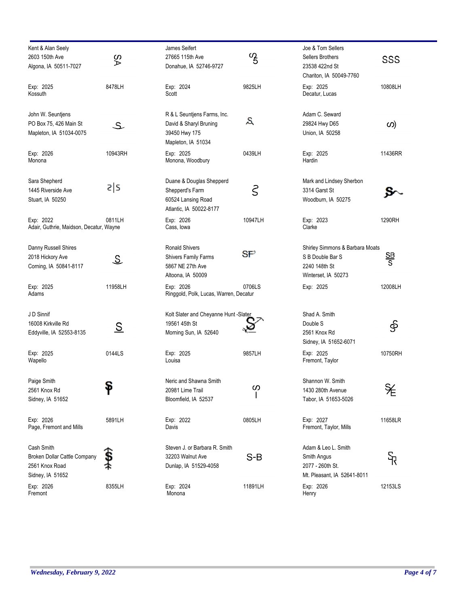| Kent & Alan Seely<br>2603 150th Ave<br>Algona, IA 50511-7027                     | δÁ                      | James Seifert<br>27665 115th Ave<br>Donahue, IA 52746-9727                                    | $\frac{v}{5}$ | Joe & Tom Sellers<br>Sellers Brothers<br>23538 422nd St<br>Chariton, IA 50049-7760          | SSS     |
|----------------------------------------------------------------------------------|-------------------------|-----------------------------------------------------------------------------------------------|---------------|---------------------------------------------------------------------------------------------|---------|
| Exp: 2025<br>Kossuth                                                             | 8478LH                  | Exp: 2024<br>Scott                                                                            | 9825LH        | Exp: 2025<br>Decatur, Lucas                                                                 | 10808LH |
| John W. Seuntjens<br>PO Box 75, 426 Main St<br>Mapleton, IA 51034-0075           | ع                       | R & L Seuntjens Farms, Inc.<br>David & Sharyl Bruning<br>39450 Hwy 175<br>Mapleton, IA 51034  | S             | Adam C. Seward<br>29824 Hwy D65<br>Union, IA 50258                                          | (က      |
| Exp: 2026<br>Monona                                                              | 10943RH                 | Exp: 2025<br>Monona, Woodbury                                                                 | 0439LH        | Exp: 2025<br>Hardin                                                                         | 11436RR |
| Sara Shepherd<br>1445 Riverside Ave<br>Stuart, IA 50250                          | s s                     | Duane & Douglas Shepperd<br>Shepperd's Farm<br>60524 Lansing Road<br>Atlantic, IA 50022-8177  | ζ             | Mark and Lindsey Sherbon<br>3314 Garst St<br>Woodburn, IA 50275                             |         |
| Exp: 2022<br>Adair, Guthrie, Maidson, Decatur, Wayne                             | 0811LH                  | Exp: 2026<br>Cass, Iowa                                                                       | 10947LH       | Exp: 2023<br>Clarke                                                                         | 1290RH  |
| Danny Russell Shires<br>2018 Hickory Ave<br>Corning, IA 50841-8117               | $\widehat{\mathcal{Z}}$ | <b>Ronald Shivers</b><br><b>Shivers Family Farms</b><br>5867 NE 27th Ave<br>Altoona, IA 50009 | S₽            | Shirley Simmons & Barbara Moats<br>S B Double Bar S<br>2240 148th St<br>Winterset, IA 50273 | 을<br>S  |
| Exp: 2025<br>Adams                                                               | 11958LH                 | Exp: 2026<br>Ringgold, Polk, Lucas, Warren, Decatur                                           | 0706LS        | Exp: 2025                                                                                   | 12008LH |
| J D Sinnif<br>16008 Kirkville Rd<br>Eddyville, IA 52553-8135                     | <u>S</u>                | Kolt Slater and Cheyanne Hunt - Slater<br>19561 45th St<br>Morning Sun, IA 52640              |               | Shad A. Smith<br>Double S<br>2561 Knox Rd<br>Sidney, IA 51652-6071                          | နှ      |
| Exp: 2025<br>Wapello                                                             | 0144LS                  | Exp: 2025<br>Louisa                                                                           | 9857LH        | Exp: 2025<br>Fremont, Taylor                                                                | 10750RH |
| Paige Smith<br>2561 Knox Rd<br>Sidney, IA 51652                                  | Ÿ                       | Neric and Shawna Smith<br>20981 Lime Trail<br>Bloomfield, IA 52537                            | $\bm{\omega}$ | Shannon W. Smith<br>1430 280th Avenue<br>Tabor, IA 51653-5026                               | ¥       |
| Exp: 2026<br>Page, Fremont and Mills                                             | 5891LH                  | Exp: 2022<br>Davis                                                                            | 0805LH        | Exp: 2027<br>Fremont, Taylor, Mills                                                         | 11658LR |
| Cash Smith<br>Broken Dollar Cattle Company<br>2561 Knox Road<br>Sidney, IA 51652 |                         | Steven J. or Barbara R. Smith<br>32203 Walnut Ave<br>Dunlap, IA 51529-4058                    | $S-B$         | Adam & Leo L. Smith<br>Smith Angus<br>2077 - 260th St.<br>Mt. Pleasant, IA 52641-8011       | क्त     |
| Exp: 2026<br>Fremont                                                             | 8355LH                  | Exp: 2024<br>Monona                                                                           | 11891LH       | Exp: 2026<br>Henry                                                                          | 12153LS |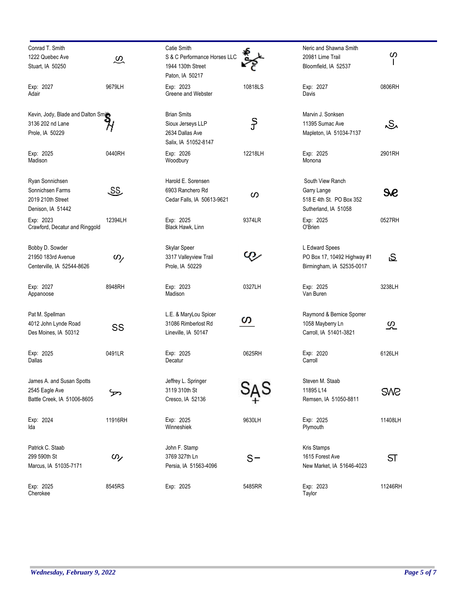| Conrad T. Smith                     |                      | Catie Smith                  |         | Neric and Shawna Smith      |                         |
|-------------------------------------|----------------------|------------------------------|---------|-----------------------------|-------------------------|
| 1222 Quebec Ave                     | $\widetilde{\infty}$ | S & C Performance Horses LLC |         | 20981 Lime Trail            | ၯ                       |
| Stuart, IA 50250                    |                      | 1944 130th Street            |         | Bloomfield, IA 52537        |                         |
|                                     |                      | Paton, IA 50217              |         |                             |                         |
| Exp: 2027                           | 9679LH               | Exp: 2023                    | 10818LS | Exp: 2027                   | 0806RH                  |
| Adair                               |                      | Greene and Webster           |         | Davis                       |                         |
| Kevin, Jody, Blade and Dalton Smith |                      | <b>Brian Smits</b>           |         | Marvin J. Sonksen           |                         |
| 3136 202 nd Lane                    |                      | Sioux Jerseys LLP            | ွှ      | 11395 Sumac Ave             | ٨S٨                     |
| Prole, IA 50229                     |                      | 2634 Dallas Ave              |         | Mapleton, IA 51034-7137     |                         |
|                                     |                      | Salix, IA 51052-8147         |         |                             |                         |
| Exp: 2025                           | 0440RH               | Exp: 2026                    | 12218LH | Exp: 2025                   | 2901RH                  |
| Madison                             |                      | Woodbury                     |         | Monona                      |                         |
| Ryan Sonnichsen                     |                      | Harold E. Sorensen           |         | South View Ranch            |                         |
| Sonnichsen Farms                    | <u>SS</u>            | 6903 Ranchero Rd             |         | Garry Lange                 | Se                      |
| 2019 210th Street                   |                      | Cedar Falls, IA 50613-9621   | ၯ       | 518 E 4th St. PO Box 352    |                         |
| Denison, IA 51442                   |                      |                              |         | Sutherland, IA 51058        |                         |
| Exp: 2023                           | 12394LH              | Exp: 2025                    | 9374LR  | Exp: 2025                   | 0527RH                  |
| Crawford, Decatur and Ringgold      |                      | Black Hawk, Linn             |         | O'Brien                     |                         |
| Bobby D. Sowder                     |                      | Skylar Speer                 |         | L Edward Spees              |                         |
| 21950 183rd Avenue                  | $\omega$             | 3317 Valleyview Trail        | Q)      | PO Box 17, 10492 Highway #1 | ى                       |
| Centerville, IA 52544-8626          |                      | Prole, IA 50229              |         | Birmingham, IA 52535-0017   |                         |
|                                     |                      |                              |         |                             |                         |
| Exp: 2027                           | 8948RH               | Exp: 2023                    | 0327LH  | Exp: 2025                   | 3238LH                  |
| Appanoose                           |                      | Madison                      |         | Van Buren                   |                         |
| Pat M. Spellman                     |                      | L.E. & MaryLou Spicer        |         | Raymond & Bernice Sporrer   |                         |
| 4012 John Lynde Road                |                      | 31086 Rimberlost Rd          | ഗ       | 1058 Mayberry Ln            | သ္က                     |
| Des Moines, IA 50312                | SS                   | Lineville, IA 50147          |         | Carroll, IA 51401-3821      |                         |
|                                     |                      |                              |         |                             |                         |
| Exp: 2025                           | 0491LR               | Exp: 2025                    | 0625RH  | Exp: 2020                   | 6126LH                  |
| Dallas                              |                      | Decatur                      |         | Carroll                     |                         |
| James A. and Susan Spotts           |                      | Jeffrey L. Springer          |         | Steven M. Staab             |                         |
| 2545 Eagle Ave                      |                      | 3119 310th St                |         | 11895 L14                   | <b>SM2</b>              |
| Battle Creek, IA 51006-8605         |                      | Cresco, IA 52136             |         | Remsen, IA 51050-8811       |                         |
| Exp: 2024                           | 11916RH              | Exp: 2025                    | 9630LH  | Exp: 2025                   | 11408LH                 |
| Ida                                 |                      | Winneshiek                   |         | Plymouth                    |                         |
| Patrick C. Staab                    |                      | John F. Stamp                |         | Kris Stamps                 |                         |
| 299 590th St                        | $\omega$             | 3769 327th Ln                |         | 1615 Forest Ave             |                         |
| Marcus, IA 51035-7171               |                      | Persia, IA 51563-4096        | $S-$    | New Market, IA 51646-4023   | $\overline{\mathsf{S}}$ |
|                                     |                      |                              |         |                             |                         |
| Exp: 2025                           | 8545RS               | Exp: 2025                    | 5485RR  | Exp: 2023                   | 11246RH                 |
| Cherokee                            |                      |                              |         | Taylor                      |                         |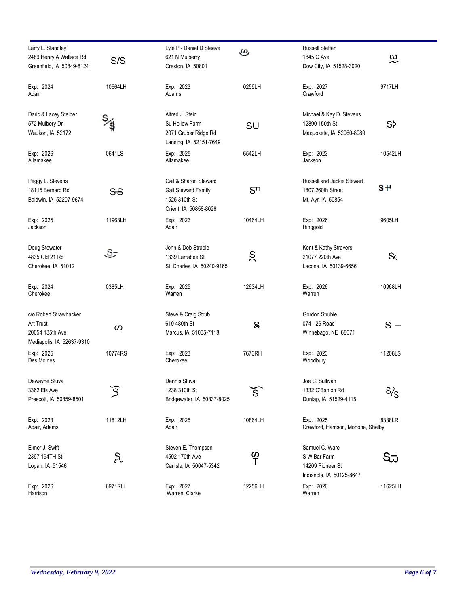| Larry L. Standley<br>2489 Henry A Wallace Rd<br>Greenfield, IA 50849-8124           | S/S                       | Lyle P - Daniel D Steeve<br>621 N Mulberry<br>Creston, IA 50801                        | అ              | Russell Steffen<br>1845 Q Ave<br>Dow City, IA 51528-3020                       | $\widetilde{\mathcal{L}}$ |
|-------------------------------------------------------------------------------------|---------------------------|----------------------------------------------------------------------------------------|----------------|--------------------------------------------------------------------------------|---------------------------|
| Exp: 2024<br>Adair                                                                  | 10664LH                   | Exp: 2023<br>Adams                                                                     | 0259LH         | Exp: 2027<br>Crawford                                                          | 9717LH                    |
| Daric & Lacey Steiber<br>572 Mulbery Dr<br>Waukon, IA 52172                         | $\frac{S}{\sqrt{2}}$      | Alfred J. Stein<br>Su Hollow Farm<br>2071 Gruber Ridge Rd<br>Lansing, IA 52151-7649    | SU             | Michael & Kay D. Stevens<br>12890 150th St<br>Maquoketa, IA 52060-8989         | S <sub>2</sub>            |
| Exp: 2026<br>Allamakee                                                              | 0641LS                    | Exp: 2025<br>Allamakee                                                                 | 6542LH         | Exp: 2023<br>Jackson                                                           | 10542LH                   |
| Peggy L. Stevens<br>18115 Bernard Rd<br>Baldwin, IA 52207-9674                      | SS                        | Gail & Sharon Steward<br>Gail Steward Family<br>1525 310th St<br>Orient, IA 50858-8026 | S <sub>n</sub> | Russell and Jackie Stewart<br>1807 260th Street<br>Mt. Ayr, IA 50854           | SΨ                        |
| Exp: 2025<br>Jackson                                                                | 11963LH                   | Exp: 2023<br>Adair                                                                     | 10464LH        | Exp: 2026<br>Ringgold                                                          | 9605LH                    |
| Doug Stowater<br>4835 Old 21 Rd<br>Cherokee, IA 51012                               | ٩G                        | John & Deb Strable<br>1339 Larrabee St<br>St. Charles, IA 50240-9165                   | Š              | Kent & Kathy Stravers<br>21077 220th Ave<br>Lacona, IA 50139-6656              | $\propto$                 |
| Exp: 2024<br>Cherokee                                                               | 0385LH                    | Exp: 2025<br>Warren                                                                    | 12634LH        | Exp: 2026<br>Warren                                                            | 10968LH                   |
| c/o Robert Strawhacker<br>Art Trust<br>20054 135th Ave<br>Mediapolis, IA 52637-9310 | ၯ                         | Steve & Craig Strub<br>619 480th St<br>Marcus, IA 51035-7118                           | $\mathbf{s}$   | Gordon Struble<br>074 - 26 Road<br>Winnebago, NE 68071                         | $S =$                     |
| Exp: 2025<br>Des Moines                                                             | 10774RS                   | Exp: 2023<br>Cherokee                                                                  | 7673RH         | Exp: 2023<br>Woodbury                                                          | 11208LS                   |
| Dewayne Stuva<br>3362 Elk Ave<br>Prescott, IA 50859-8501                            | $\widetilde{\mathcal{S}}$ | Dennis Stuva<br>1238 310th St<br>Bridgewater, IA 50837-8025                            | Š.             | Joe C. Sullivan<br>1332 O'Banion Rd<br>Dunlap, IA 51529-4115                   | S/S                       |
| Exp: 2023<br>Adair, Adams                                                           | 11812LH                   | Exp: 2025<br>Adair                                                                     | 10864LH        | Exp: 2025<br>Crawford, Harrison, Monona, Shelby                                | 8338LR                    |
| Elmer J. Swift<br>2397 194TH St<br>Logan, IA 51546                                  | R                         | Steven E. Thompson<br>4592 170th Ave<br>Carlisle, IA 50047-5342                        | <u>က</u> ု     | Samuel C. Ware<br>S W Bar Farm<br>14209 Pioneer St<br>Indianola, IA 50125-8647 | Sū                        |
| Exp: 2026<br>Harrison                                                               | 6971RH                    | Exp: 2027<br>Warren, Clarke                                                            | 12256LH        | Exp: 2026<br>Warren                                                            | 11625LH                   |